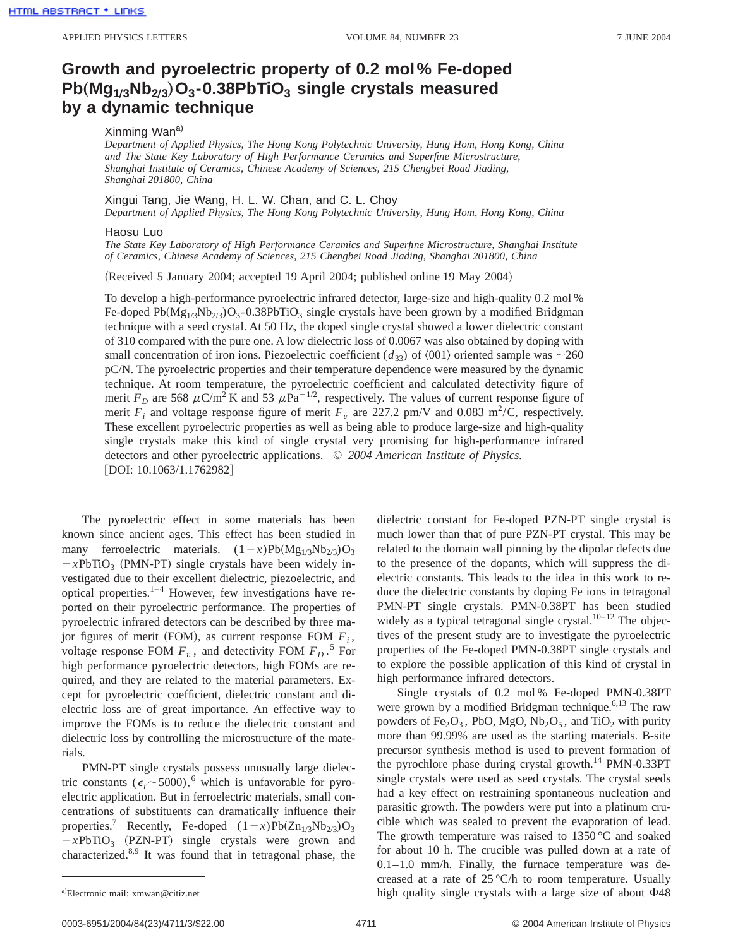## **Growth and pyroelectric property of 0.2 mol% Fe-doped Pb**"**Mg1Õ3Nb2Õ<sup>3</sup>**…**O3-0.38PbTiO3 single crystals measured by a dynamic technique**

## Xinming Wan<sup>a)</sup>

*Department of Applied Physics, The Hong Kong Polytechnic University, Hung Hom, Hong Kong, China and The State Key Laboratory of High Performance Ceramics and Superfine Microstructure, Shanghai Institute of Ceramics, Chinese Academy of Sciences, 215 Chengbei Road Jiading, Shanghai 201800, China*

## Xingui Tang, Jie Wang, H. L. W. Chan, and C. L. Choy

*Department of Applied Physics, The Hong Kong Polytechnic University, Hung Hom, Hong Kong, China*

## Haosu Luo

*The State Key Laboratory of High Performance Ceramics and Superfine Microstructure, Shanghai Institute of Ceramics, Chinese Academy of Sciences, 215 Chengbei Road Jiading, Shanghai 201800, China*

(Received 5 January 2004; accepted 19 April 2004; published online 19 May 2004)

To develop a high-performance pyroelectric infrared detector, large-size and high-quality 0.2 mol % Fe-doped Pb( $Mg_{1/3}Nb_{2/3}O_3$ -0.38PbTiO<sub>3</sub> single crystals have been grown by a modified Bridgman technique with a seed crystal. At 50 Hz, the doped single crystal showed a lower dielectric constant of 310 compared with the pure one. A low dielectric loss of 0.0067 was also obtained by doping with small concentration of iron ions. Piezoelectric coefficient  $(d_{33})$  of  $\langle 001 \rangle$  oriented sample was  $\sim$ 260 pC/N. The pyroelectric properties and their temperature dependence were measured by the dynamic technique. At room temperature, the pyroelectric coefficient and calculated detectivity figure of merit  $F_D$  are 568  $\mu$ C/m<sup>2</sup> K and 53  $\mu$ Pa<sup>-1/2</sup>, respectively. The values of current response figure of merit  $F_i$  and voltage response figure of merit  $F_v$  are 227.2 pm/V and 0.083 m<sup>2</sup>/C, respectively. These excellent pyroelectric properties as well as being able to produce large-size and high-quality single crystals make this kind of single crystal very promising for high-performance infrared detectors and other pyroelectric applications. © *2004 American Institute of Physics.*  $[DOI: 10.1063/1.1762982]$ 

The pyroelectric effect in some materials has been known since ancient ages. This effect has been studied in many ferroelectric materials.  $(1-x)Pb(Mg_{1/3}Nb_{2/3})O_3$  $-xPbTiO<sub>3</sub>$  (PMN-PT) single crystals have been widely investigated due to their excellent dielectric, piezoelectric, and optical properties.1–4 However, few investigations have reported on their pyroelectric performance. The properties of pyroelectric infrared detectors can be described by three major figures of merit (FOM), as current response FOM  $F_i$ , voltage response FOM  $F_v$ , and detectivity FOM  $F_D$ .<sup>5</sup> For high performance pyroelectric detectors, high FOMs are required, and they are related to the material parameters. Except for pyroelectric coefficient, dielectric constant and dielectric loss are of great importance. An effective way to improve the FOMs is to reduce the dielectric constant and dielectric loss by controlling the microstructure of the materials.

PMN-PT single crystals possess unusually large dielectric constants ( $\epsilon_r \sim 5000$ ),<sup>6</sup> which is unfavorable for pyroelectric application. But in ferroelectric materials, small concentrations of substituents can dramatically influence their properties.<sup>7</sup> Recently, Fe-doped  $(1-x)Pb(Zn_{1/3}Nb_{2/3})O_3$  $-xPbTiO<sub>3</sub>$  (PZN-PT) single crystals were grown and characterized.8,9 It was found that in tetragonal phase, the dielectric constant for Fe-doped PZN-PT single crystal is much lower than that of pure PZN-PT crystal. This may be related to the domain wall pinning by the dipolar defects due to the presence of the dopants, which will suppress the dielectric constants. This leads to the idea in this work to reduce the dielectric constants by doping Fe ions in tetragonal PMN-PT single crystals. PMN-0.38PT has been studied widely as a typical tetragonal single crystal. $10-12$  The objectives of the present study are to investigate the pyroelectric properties of the Fe-doped PMN-0.38PT single crystals and to explore the possible application of this kind of crystal in high performance infrared detectors.

Single crystals of 0.2 mol % Fe-doped PMN-0.38PT were grown by a modified Bridgman technique.<sup>6,13</sup> The raw powders of Fe<sub>2</sub>O<sub>3</sub>, PbO, MgO, Nb<sub>2</sub>O<sub>5</sub>, and TiO<sub>2</sub> with purity more than 99.99% are used as the starting materials. B-site precursor synthesis method is used to prevent formation of the pyrochlore phase during crystal growth.<sup>14</sup> PMN-0.33PT single crystals were used as seed crystals. The crystal seeds had a key effect on restraining spontaneous nucleation and parasitic growth. The powders were put into a platinum crucible which was sealed to prevent the evaporation of lead. The growth temperature was raised to 1350 °C and soaked for about 10 h. The crucible was pulled down at a rate of  $0.1-1.0$  mm/h. Finally, the furnace temperature was decreased at a rate of 25 °C/h to room temperature. Usually high quality single crystals with a large size of about  $\Phi$ 48

Electronic mail: xmwan@citiz.net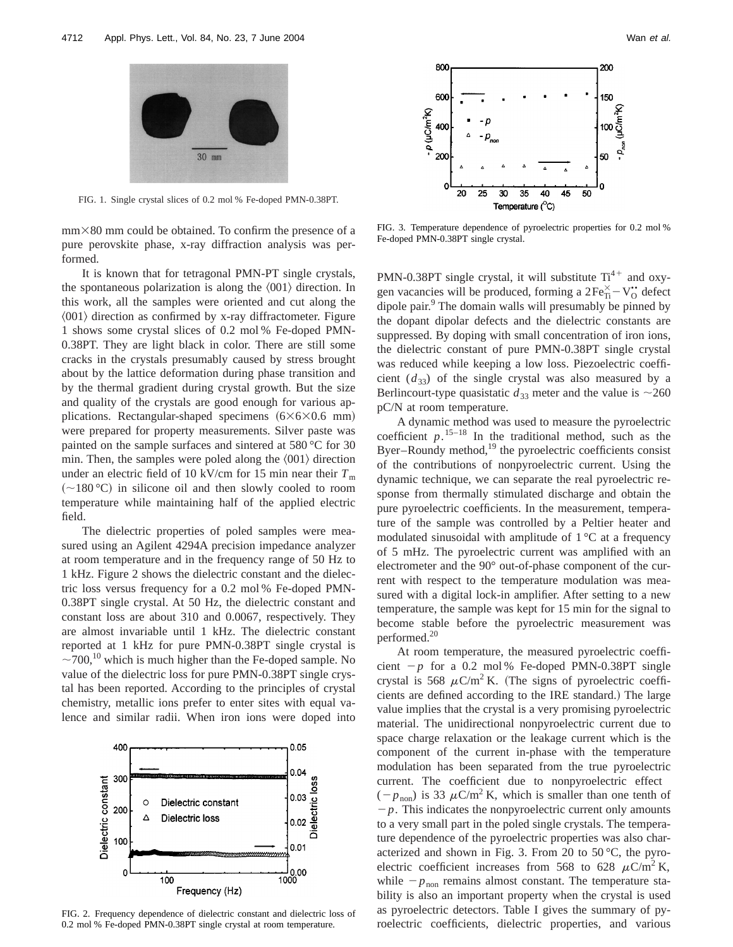

FIG. 1. Single crystal slices of 0.2 mol % Fe-doped PMN-0.38PT.

 $mm\times80$  mm could be obtained. To confirm the presence of a pure perovskite phase, x-ray diffraction analysis was performed.

It is known that for tetragonal PMN-PT single crystals, the spontaneous polarization is along the  $\langle 001 \rangle$  direction. In this work, all the samples were oriented and cut along the  $\langle 001 \rangle$  direction as confirmed by x-ray diffractometer. Figure 1 shows some crystal slices of 0.2 mol % Fe-doped PMN-0.38PT. They are light black in color. There are still some cracks in the crystals presumably caused by stress brought about by the lattice deformation during phase transition and by the thermal gradient during crystal growth. But the size and quality of the crystals are good enough for various applications. Rectangular-shaped specimens  $(6\times6\times0.6$  mm) were prepared for property measurements. Silver paste was painted on the sample surfaces and sintered at 580 °C for 30 min. Then, the samples were poled along the  $\langle 001 \rangle$  direction under an electric field of 10 kV/cm for 15 min near their  $T<sub>m</sub>$  $(\sim 180 \degree C)$  in silicone oil and then slowly cooled to room temperature while maintaining half of the applied electric field.

The dielectric properties of poled samples were measured using an Agilent 4294A precision impedance analyzer at room temperature and in the frequency range of 50 Hz to 1 kHz. Figure 2 shows the dielectric constant and the dielectric loss versus frequency for a 0.2 mol % Fe-doped PMN-0.38PT single crystal. At 50 Hz, the dielectric constant and constant loss are about 310 and 0.0067, respectively. They are almost invariable until 1 kHz. The dielectric constant reported at 1 kHz for pure PMN-0.38PT single crystal is  $\sim$ 700,<sup>10</sup> which is much higher than the Fe-doped sample. No value of the dielectric loss for pure PMN-0.38PT single crystal has been reported. According to the principles of crystal chemistry, metallic ions prefer to enter sites with equal valence and similar radii. When iron ions were doped into



FIG. 2. Frequency dependence of dielectric constant and dielectric loss of 0.2 mol % Fe-doped PMN-0.38PT single crystal at room temperature.



FIG. 3. Temperature dependence of pyroelectric properties for 0.2 mol % Fe-doped PMN-0.38PT single crystal.

PMN-0.38PT single crystal, it will substitute  $Ti^{4+}$  and oxygen vacancies will be produced, forming a  $2Fe_{Ti}^{\times} - V_O^{\bullet\bullet}$  defect dipole pair.<sup>9</sup> The domain walls will presumably be pinned by the dopant dipolar defects and the dielectric constants are suppressed. By doping with small concentration of iron ions, the dielectric constant of pure PMN-0.38PT single crystal was reduced while keeping a low loss. Piezoelectric coefficient  $(d_{33})$  of the single crystal was also measured by a Berlincourt-type quasistatic  $d_{33}$  meter and the value is  $\sim$ 260 pC/N at room temperature.

A dynamic method was used to measure the pyroelectric coefficient  $p$ <sup>15–18</sup>. In the traditional method, such as the Byer–Roundy method, $^{19}$  the pyroelectric coefficients consist of the contributions of nonpyroelectric current. Using the dynamic technique, we can separate the real pyroelectric response from thermally stimulated discharge and obtain the pure pyroelectric coefficients. In the measurement, temperature of the sample was controlled by a Peltier heater and modulated sinusoidal with amplitude of 1 °C at a frequency of 5 mHz. The pyroelectric current was amplified with an electrometer and the 90° out-of-phase component of the current with respect to the temperature modulation was measured with a digital lock-in amplifier. After setting to a new temperature, the sample was kept for 15 min for the signal to become stable before the pyroelectric measurement was performed.20

At room temperature, the measured pyroelectric coefficient  $-p$  for a 0.2 mol % Fe-doped PMN-0.38PT single crystal is 568  $\mu$ C/m<sup>2</sup> K. (The signs of pyroelectric coefficients are defined according to the IRE standard.) The large value implies that the crystal is a very promising pyroelectric material. The unidirectional nonpyroelectric current due to space charge relaxation or the leakage current which is the component of the current in-phase with the temperature modulation has been separated from the true pyroelectric current. The coefficient due to nonpyroelectric effect  $(-p_{\text{non}})$  is 33  $\mu$ C/m<sup>2</sup> K, which is smaller than one tenth of  $-p$ . This indicates the nonpyroelectric current only amounts to a very small part in the poled single crystals. The temperature dependence of the pyroelectric properties was also characterized and shown in Fig. 3. From 20 to 50 °C, the pyroelectric coefficient increases from 568 to 628  $\mu$ C/m<sup>2</sup> K, while  $-p_{\text{non}}$  remains almost constant. The temperature stability is also an important property when the crystal is used as pyroelectric detectors. Table I gives the summary of pyroelectric coefficients, dielectric properties, and various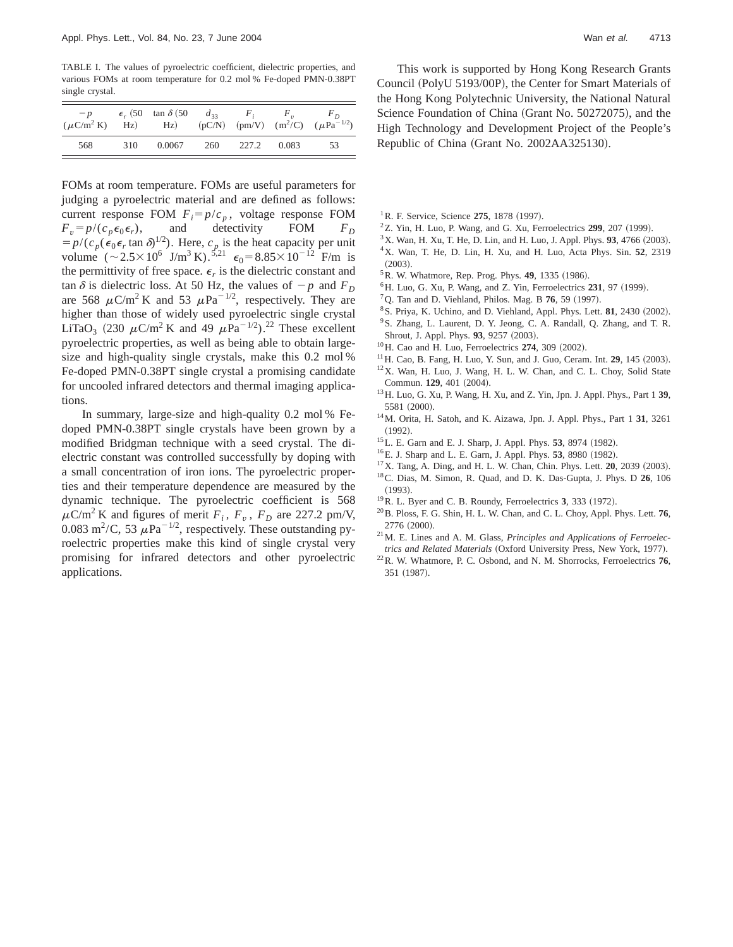TABLE I. The values of pyroelectric coefficient, dielectric properties, and various FOMs at room temperature for 0.2 mol % Fe-doped PMN-0.38PT single crystal.

| $- p$<br>$(\mu$ C/m <sup>2</sup> K) |     | $\epsilon$ , (50 tan $\delta$ (50 d <sub>33</sub> F <sub>i</sub><br>$\rm Hz)$ $\rm Hz)$ |     |             | $F_n$ and $F_n$ | F <sub>D</sub><br>$(pC/N)$ (pm/V) $(m^2/C)$ ( $\mu Pa^{-1/2}$ ) |
|-------------------------------------|-----|-----------------------------------------------------------------------------------------|-----|-------------|-----------------|-----------------------------------------------------------------|
| 568                                 | 310 | 0.0067                                                                                  | 260 | 227.2 0.083 |                 | 53                                                              |

FOMs at room temperature. FOMs are useful parameters for judging a pyroelectric material and are defined as follows: current response FOM  $F_i = p/c_p$ , voltage response FOM  $F_v = p/(c_p \epsilon_0 \epsilon_r)$ , and detectivity FOM  $F_D$  $= p/(c_p(\epsilon_0 \epsilon_r \tan \delta)^{1/2})$ . Here,  $c_p$  is the heat capacity per unit volume  $({\sim}2.5\times10^{6} \text{ J/m}^{3} \text{ K})$ .<sup>5,21</sup>  $\epsilon_0$  = 8.85 $\times10^{-12}$  F/m is the permittivity of free space.  $\epsilon_r$  is the dielectric constant and tan  $\delta$  is dielectric loss. At 50 Hz, the values of  $-p$  and  $F_D$ are 568  $\mu$ C/m<sup>2</sup> K and 53  $\mu$ Pa<sup>-1/2</sup>, respectively. They are higher than those of widely used pyroelectric single crystal LiTaO<sub>3</sub> (230  $\mu$ C/m<sup>2</sup> K and 49  $\mu$ Pa<sup>-1/2</sup>).<sup>22</sup> These excellent pyroelectric properties, as well as being able to obtain largesize and high-quality single crystals, make this 0.2 mol % Fe-doped PMN-0.38PT single crystal a promising candidate for uncooled infrared detectors and thermal imaging applications.

In summary, large-size and high-quality 0.2 mol % Fedoped PMN-0.38PT single crystals have been grown by a modified Bridgman technique with a seed crystal. The dielectric constant was controlled successfully by doping with a small concentration of iron ions. The pyroelectric properties and their temperature dependence are measured by the dynamic technique. The pyroelectric coefficient is 568  $\mu$ C/m<sup>2</sup> K and figures of merit  $F_i$ ,  $F_v$ ,  $F_D$  are 227.2 pm/V, 0.083 m<sup>2</sup>/C, 53  $\mu$ Pa<sup>-1/2</sup>, respectively. These outstanding pyroelectric properties make this kind of single crystal very promising for infrared detectors and other pyroelectric applications.

This work is supported by Hong Kong Research Grants Council (PolyU 5193/00P), the Center for Smart Materials of the Hong Kong Polytechnic University, the National Natural Science Foundation of China (Grant No. 50272075), and the High Technology and Development Project of the People's Republic of China (Grant No. 2002AA325130).

- <sup>1</sup>R. F. Service, Science 275, 1878 (1997).
- $2$ Z. Yin, H. Luo, P. Wang, and G. Xu, Ferroelectrics  $299$ ,  $207$  (1999).
- $3X$ . Wan, H. Xu, T. He, D. Lin, and H. Luo, J. Appl. Phys. 93, 4766 (2003).
- 4X. Wan, T. He, D. Lin, H. Xu, and H. Luo, Acta Phys. Sin. **52**, 2319  $(2003).$
- <sup>5</sup> R. W. Whatmore, Rep. Prog. Phys. **49**, 1335 (1986).
- ${}^{6}$ H. Luo, G. Xu, P. Wang, and Z. Yin, Ferroelectrics  $231, 97$  (1999).
- ${}^{7}Q$ . Tan and D. Viehland, Philos. Mag. B **76**, 59 (1997).
- <sup>8</sup> S. Priya, K. Uchino, and D. Viehland, Appl. Phys. Lett. **81**, 2430 (2002).
- <sup>9</sup>S. Zhang, L. Laurent, D. Y. Jeong, C. A. Randall, Q. Zhang, and T. R. Shrout, J. Appl. Phys. 93, 9257 (2003).
- $^{10}$ H. Cao and H. Luo, Ferroelectrics  $274$ , 309  $(2002)$ .
- <sup>11</sup> H. Cao, B. Fang, H. Luo, Y. Sun, and J. Guo, Ceram. Int. **29**, 145 (2003).
- 12X. Wan, H. Luo, J. Wang, H. L. W. Chan, and C. L. Choy, Solid State Commun. **129**, 401 (2004).
- 13H. Luo, G. Xu, P. Wang, H. Xu, and Z. Yin, Jpn. J. Appl. Phys., Part 1 **39**, 5581 (2000).
- 14M. Orita, H. Satoh, and K. Aizawa, Jpn. J. Appl. Phys., Part 1 **31**, 3261  $(1992).$
- <sup>15</sup>L. E. Garn and E. J. Sharp, J. Appl. Phys. **53**, 8974 (1982).
- $^{16}$ E. J. Sharp and L. E. Garn, J. Appl. Phys. **53**, 8980 (1982).
- <sup>17</sup>X. Tang, A. Ding, and H. L. W. Chan, Chin. Phys. Lett. **20**, 2039 (2003).
- 18C. Dias, M. Simon, R. Quad, and D. K. Das-Gupta, J. Phys. D **26**, 106  $(1993).$
- <sup>19</sup>R. L. Byer and C. B. Roundy, Ferroelectrics 3, 333 (1972).
- 20B. Ploss, F. G. Shin, H. L. W. Chan, and C. L. Choy, Appl. Phys. Lett. **76**,  $2776 ~ (2000)$ .
- 21M. E. Lines and A. M. Glass, *Principles and Applications of Ferroelectrics and Related Materials* (Oxford University Press, New York, 1977).
- 22R. W. Whatmore, P. C. Osbond, and N. M. Shorrocks, Ferroelectrics **76**, 351 (1987).